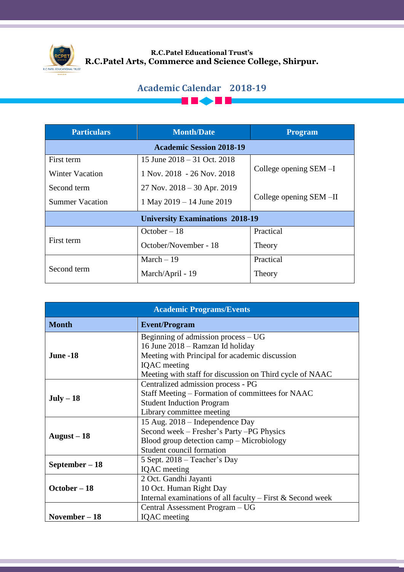

## **R.C.Patel Educational Trust's R.C.Patel Arts, Commerce and Science College, Shirpur.**

## **Academic Calendar 2018-19**

**THE RE** 

| <b>Particulars</b>                     | <b>Month/Date</b>               | <b>Program</b>            |  |
|----------------------------------------|---------------------------------|---------------------------|--|
| <b>Academic Session 2018-19</b>        |                                 |                           |  |
| First term                             | 15 June $2018 - 31$ Oct. 2018   |                           |  |
| Winter Vacation                        | 1 Nov. 2018 - 26 Nov. 2018      | College opening $SEM - I$ |  |
| Second term                            | $27$ Nov. $2018 - 30$ Apr. 2019 |                           |  |
| <b>Summer Vacation</b>                 | 1 May 2019 – 14 June 2019       | College opening SEM-II    |  |
| <b>University Examinations 2018-19</b> |                                 |                           |  |
| First term                             | $October - 18$                  | Practical                 |  |
|                                        | October/November - 18           | Theory                    |  |
| Second term                            | March $-19$                     | Practical                 |  |
|                                        | March/April - 19                | Theory                    |  |

| <b>Academic Programs/Events</b> |                                                                                    |  |  |
|---------------------------------|------------------------------------------------------------------------------------|--|--|
| <b>Month</b>                    | <b>Event/Program</b>                                                               |  |  |
| <b>June -18</b>                 | Beginning of admission process $-UG$                                               |  |  |
|                                 | 16 June 2018 – Ramzan Id holiday<br>Meeting with Principal for academic discussion |  |  |
|                                 | <b>IQAC</b> meeting                                                                |  |  |
|                                 | Meeting with staff for discussion on Third cycle of NAAC                           |  |  |
| $July-18$                       | Centralized admission process - PG                                                 |  |  |
|                                 | Staff Meeting – Formation of committees for NAAC                                   |  |  |
|                                 | <b>Student Induction Program</b>                                                   |  |  |
|                                 | Library committee meeting                                                          |  |  |
| August $-18$                    | 15 Aug. 2018 – Independence Day                                                    |  |  |
|                                 | Second week – Fresher's Party – PG Physics                                         |  |  |
|                                 | Blood group detection camp – Microbiology                                          |  |  |
|                                 | Student council formation                                                          |  |  |
| September – 18                  | 5 Sept. 2018 – Teacher's Day                                                       |  |  |
|                                 | IQAC meeting                                                                       |  |  |
| $October - 18$                  | 2 Oct. Gandhi Jayanti                                                              |  |  |
|                                 | 10 Oct. Human Right Day                                                            |  |  |
|                                 | Internal examinations of all faculty $-$ First & Second week                       |  |  |
|                                 | Central Assessment Program - UG                                                    |  |  |
| November – 18                   | <b>IQAC</b> meeting                                                                |  |  |